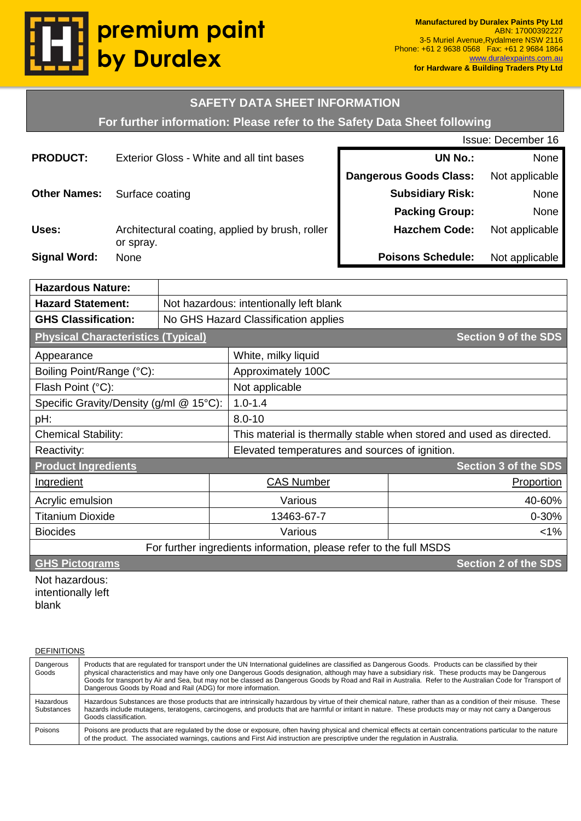

### **SAFETY DATA SHEET INFORMATION**

**For further information: Please refer to the Safety Data Sheet following**

|                     |                                                              | Issue: December 16            |                |  |
|---------------------|--------------------------------------------------------------|-------------------------------|----------------|--|
| <b>PRODUCT:</b>     | Exterior Gloss - White and all tint bases                    | <b>UN No.:</b>                | None           |  |
|                     |                                                              | <b>Dangerous Goods Class:</b> | Not applicable |  |
| <b>Other Names:</b> | Surface coating                                              | <b>Subsidiary Risk:</b>       | None           |  |
|                     |                                                              | <b>Packing Group:</b>         | None           |  |
| Uses:               | Architectural coating, applied by brush, roller<br>or spray. | <b>Hazchem Code:</b>          | Not applicable |  |
| <b>Signal Word:</b> | None                                                         | <b>Poisons Schedule:</b>      | Not applicable |  |

| <b>Hazardous Nature:</b>                                           |                                         |                                                                     |                             |  |
|--------------------------------------------------------------------|-----------------------------------------|---------------------------------------------------------------------|-----------------------------|--|
| <b>Hazard Statement:</b>                                           | Not hazardous: intentionally left blank |                                                                     |                             |  |
| <b>GHS Classification:</b>                                         | No GHS Hazard Classification applies    |                                                                     |                             |  |
| <b>Physical Characteristics (Typical)</b>                          |                                         |                                                                     | <b>Section 9 of the SDS</b> |  |
| Appearance                                                         |                                         | White, milky liquid                                                 |                             |  |
| Boiling Point/Range (°C):                                          |                                         | Approximately 100C                                                  |                             |  |
| Flash Point (°C):<br>Not applicable                                |                                         |                                                                     |                             |  |
| Specific Gravity/Density (g/ml @ 15°C):                            |                                         | $1.0 - 1.4$                                                         |                             |  |
| pH:                                                                | $8.0 - 10$                              |                                                                     |                             |  |
| <b>Chemical Stability:</b>                                         |                                         | This material is thermally stable when stored and used as directed. |                             |  |
| Reactivity:                                                        |                                         | Elevated temperatures and sources of ignition.                      |                             |  |
| <b>Product Ingredients</b><br><b>Section 3 of the SDS</b>          |                                         |                                                                     |                             |  |
| Ingredient                                                         | <b>CAS Number</b>                       |                                                                     | Proportion                  |  |
| Acrylic emulsion                                                   |                                         | Various                                                             | 40-60%                      |  |
| <b>Titanium Dioxide</b>                                            | 13463-67-7                              |                                                                     | $0 - 30%$                   |  |
| <b>Biocides</b>                                                    | Various                                 |                                                                     | $1\%$                       |  |
| For further ingredients information, please refer to the full MSDS |                                         |                                                                     |                             |  |
| <b>Section 2 of the SDS</b><br><b>GHS Pictograms</b>               |                                         |                                                                     |                             |  |

Not hazardous: intentionally left blank

| <b>DEFINITIONS</b>             |                                                                                                                                                                                                                                                                                                                                                                                                                                                                                                                                          |
|--------------------------------|------------------------------------------------------------------------------------------------------------------------------------------------------------------------------------------------------------------------------------------------------------------------------------------------------------------------------------------------------------------------------------------------------------------------------------------------------------------------------------------------------------------------------------------|
| Dangerous<br>Goods             | Products that are regulated for transport under the UN International guidelines are classified as Dangerous Goods. Products can be classified by their<br>physical characteristics and may have only one Dangerous Goods designation, although may have a subsidiary risk. These products may be Dangerous<br>Goods for transport by Air and Sea, but may not be classed as Dangerous Goods by Road and Rail in Australia. Refer to the Australian Code for Transport of<br>Dangerous Goods by Road and Rail (ADG) for more information. |
| Hazardous<br><b>Substances</b> | Hazardous Substances are those products that are intrinsically hazardous by virtue of their chemical nature, rather than as a condition of their misuse. These<br>hazards include mutagens, teratogens, carcinogens, and products that are harmful or irritant in nature. These products may or may not carry a Dangerous<br>Goods classification.                                                                                                                                                                                       |
| Poisons                        | Poisons are products that are regulated by the dose or exposure, often having physical and chemical effects at certain concentrations particular to the nature<br>of the product. The associated warnings, cautions and First Aid instruction are prescriptive under the regulation in Australia.                                                                                                                                                                                                                                        |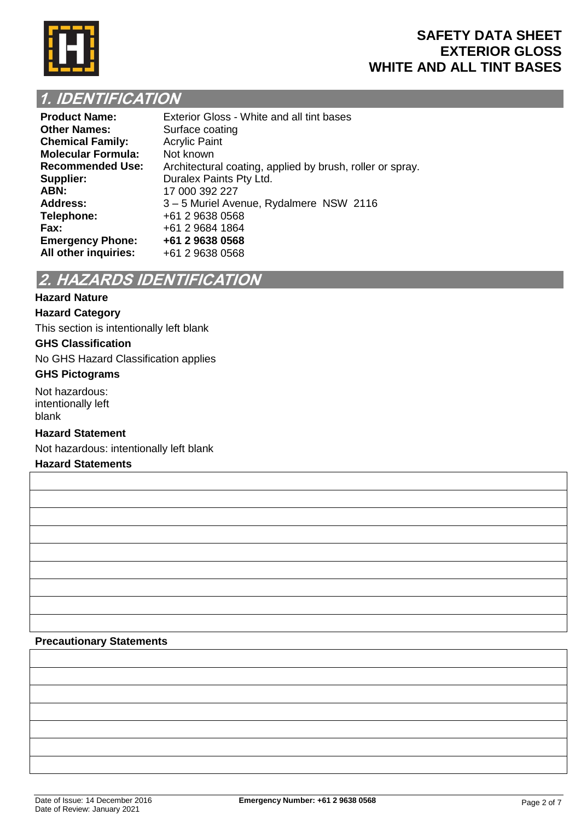

## **1. IDENTIFICATION**

| <b>Product Name:</b>      | Exterior Gloss - White and all tint bases                 |
|---------------------------|-----------------------------------------------------------|
| <b>Other Names:</b>       | Surface coating                                           |
| <b>Chemical Family:</b>   | <b>Acrylic Paint</b>                                      |
| <b>Molecular Formula:</b> | Not known                                                 |
| <b>Recommended Use:</b>   | Architectural coating, applied by brush, roller or spray. |
| Supplier:                 | Duralex Paints Pty Ltd.                                   |
| ABN:                      | 17 000 392 227                                            |
| <b>Address:</b>           | 3-5 Muriel Avenue, Rydalmere NSW 2116                     |
| Telephone:                | +61 2 9638 0568                                           |
| Fax:                      | +61 2 9684 1864                                           |
| <b>Emergency Phone:</b>   | +61 2 9638 0568                                           |
| All other inquiries:      | +61 2 9638 0568                                           |

# **2. HAZARDS IDENTIFICATION**

### **Hazard Nature**

### **Hazard Category**

This section is intentionally left blank

### **GHS Classification**

No GHS Hazard Classification applies

### **GHS Pictograms**

Not hazardous: intentionally left blank

### **Hazard Statement**

Not hazardous: intentionally left blank

### **Hazard Statements**

#### **Precautionary Statements**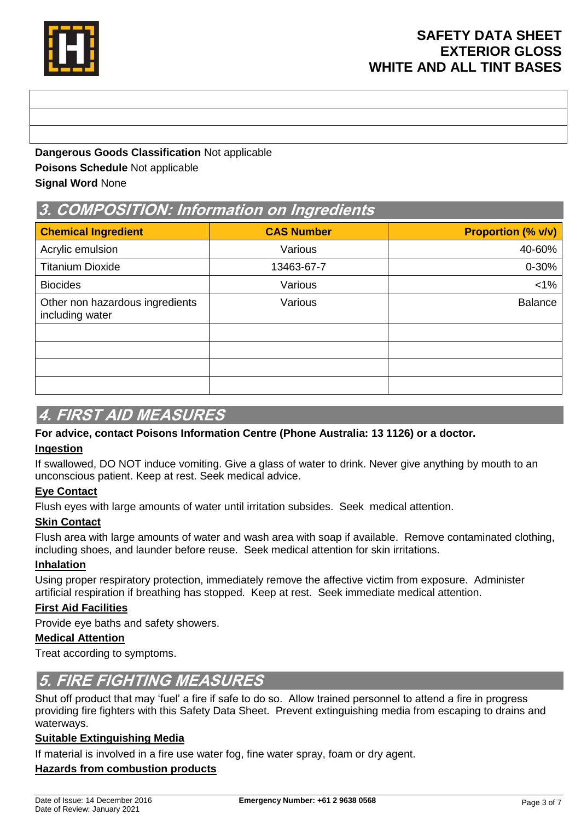

**Dangerous Goods Classification** Not applicable **Poisons Schedule** Not applicable **Signal Word** None

## **3. COMPOSITION: Information on Ingredients**

| <b>Chemical Ingredient</b>                         | <b>CAS Number</b> | <b>Proportion (% v/v)</b> |
|----------------------------------------------------|-------------------|---------------------------|
| Acrylic emulsion                                   | Various           | 40-60%                    |
| <b>Titanium Dioxide</b>                            | 13463-67-7        | $0 - 30%$                 |
| <b>Biocides</b>                                    | Various           | $< 1\%$                   |
| Other non hazardous ingredients<br>including water | Various           | <b>Balance</b>            |
|                                                    |                   |                           |
|                                                    |                   |                           |
|                                                    |                   |                           |
|                                                    |                   |                           |

### **4. FIRST AID MEASURES**

### **For advice, contact Poisons Information Centre (Phone Australia: 13 1126) or a doctor.**

### **Ingestion**

If swallowed, DO NOT induce vomiting. Give a glass of water to drink. Never give anything by mouth to an unconscious patient. Keep at rest. Seek medical advice.

### **Eye Contact**

Flush eyes with large amounts of water until irritation subsides. Seek medical attention.

### **Skin Contact**

Flush area with large amounts of water and wash area with soap if available. Remove contaminated clothing, including shoes, and launder before reuse. Seek medical attention for skin irritations.

### **Inhalation**

Using proper respiratory protection, immediately remove the affective victim from exposure. Administer artificial respiration if breathing has stopped. Keep at rest. Seek immediate medical attention.

### **First Aid Facilities**

Provide eye baths and safety showers.

### **Medical Attention**

Treat according to symptoms.

### **5. FIRE FIGHTING MEASURES**

Shut off product that may 'fuel' a fire if safe to do so. Allow trained personnel to attend a fire in progress providing fire fighters with this Safety Data Sheet. Prevent extinguishing media from escaping to drains and waterways.

### **Suitable Extinguishing Media**

If material is involved in a fire use water fog, fine water spray, foam or dry agent.

### **Hazards from combustion products**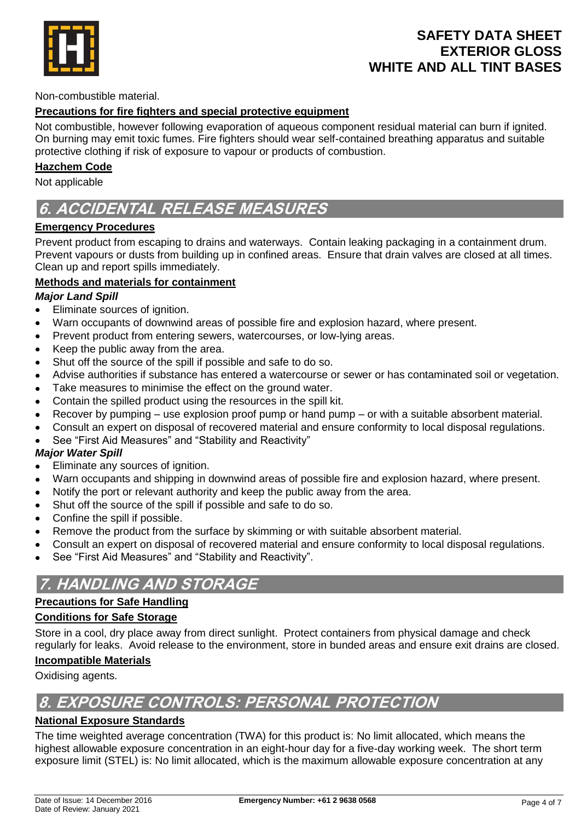

### Non-combustible material.

### **Precautions for fire fighters and special protective equipment**

Not combustible, however following evaporation of aqueous component residual material can burn if ignited. On burning may emit toxic fumes. Fire fighters should wear self-contained breathing apparatus and suitable protective clothing if risk of exposure to vapour or products of combustion.

#### **Hazchem Code**

Not applicable

# **6. ACCIDENTAL RELEASE MEASURES**

### **Emergency Procedures**

Prevent product from escaping to drains and waterways. Contain leaking packaging in a containment drum. Prevent vapours or dusts from building up in confined areas. Ensure that drain valves are closed at all times. Clean up and report spills immediately.

### **Methods and materials for containment**

### *Major Land Spill*

- Eliminate sources of ignition.  $\bullet$
- Warn occupants of downwind areas of possible fire and explosion hazard, where present.
- Prevent product from entering sewers, watercourses, or low-lying areas.
- Keep the public away from the area.
- Shut off the source of the spill if possible and safe to do so.
- Advise authorities if substance has entered a watercourse or sewer or has contaminated soil or vegetation.
- Take measures to minimise the effect on the ground water.
- Contain the spilled product using the resources in the spill kit.
- Recover by pumping use explosion proof pump or hand pump or with a suitable absorbent material.
- Consult an expert on disposal of recovered material and ensure conformity to local disposal regulations.
- See "First Aid Measures" and "Stability and Reactivity"

### *Major Water Spill*

- Eliminate any sources of ignition.
- Warn occupants and shipping in downwind areas of possible fire and explosion hazard, where present.
- Notify the port or relevant authority and keep the public away from the area.
- Shut off the source of the spill if possible and safe to do so.
- Confine the spill if possible.
- Remove the product from the surface by skimming or with suitable absorbent material.
- Consult an expert on disposal of recovered material and ensure conformity to local disposal regulations.
- See "First Aid Measures" and "Stability and Reactivity".

# **7. HANDLING AND STORAGE**

### **Precautions for Safe Handling**

### **Conditions for Safe Storage**

Store in a cool, dry place away from direct sunlight. Protect containers from physical damage and check regularly for leaks. Avoid release to the environment, store in bunded areas and ensure exit drains are closed.

### **Incompatible Materials**

Oxidising agents.

# **8. EXPOSURE CONTROLS: PERSONAL PROTECTION**

### **National Exposure Standards**

The time weighted average concentration (TWA) for this product is: No limit allocated, which means the highest allowable exposure concentration in an eight-hour day for a five-day working week. The short term exposure limit (STEL) is: No limit allocated, which is the maximum allowable exposure concentration at any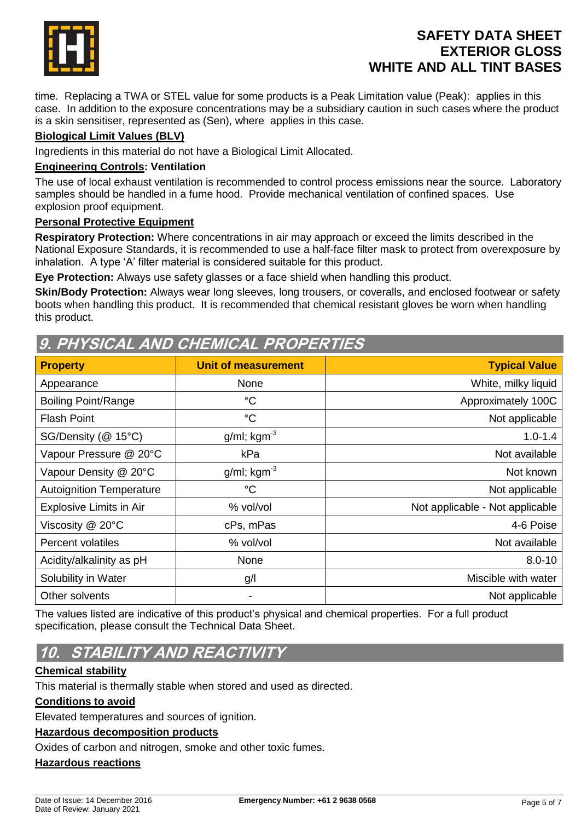

time. Replacing a TWA or STEL value for some products is a Peak Limitation value (Peak): applies in this case. In addition to the exposure concentrations may be a subsidiary caution in such cases where the product is a skin sensitiser, represented as (Sen), where applies in this case.

### **Biological Limit Values (BLV)**

Ingredients in this material do not have a Biological Limit Allocated.

### **Engineering Controls: Ventilation**

The use of local exhaust ventilation is recommended to control process emissions near the source. Laboratory samples should be handled in a fume hood. Provide mechanical ventilation of confined spaces. Use explosion proof equipment.

### **Personal Protective Equipment**

**Respiratory Protection:** Where concentrations in air may approach or exceed the limits described in the National Exposure Standards, it is recommended to use a half-face filter mask to protect from overexposure by inhalation. A type 'A' filter material is considered suitable for this product.

**Eye Protection:** Always use safety glasses or a face shield when handling this product.

**Skin/Body Protection:** Always wear long sleeves, long trousers, or coveralls, and enclosed footwear or safety boots when handling this product. It is recommended that chemical resistant gloves be worn when handling this product.

### **9. PHYSICAL AND CHEMICAL PROPERTIES**

| <b>Property</b>                 | <b>Unit of measurement</b> | <b>Typical Value</b>            |
|---------------------------------|----------------------------|---------------------------------|
| Appearance                      | None                       | White, milky liquid             |
| <b>Boiling Point/Range</b>      | $^{\circ}C$                | Approximately 100C              |
| <b>Flash Point</b>              | $^{\circ}C$                | Not applicable                  |
| SG/Density (@ 15°C)             | $g/ml$ ; kgm <sup>-3</sup> | $1.0 - 1.4$                     |
| Vapour Pressure @ 20°C          | kPa                        | Not available                   |
| Vapour Density @ 20°C           | $g/ml$ ; kgm <sup>-3</sup> | Not known                       |
| <b>Autoignition Temperature</b> | $^{\circ}C$                | Not applicable                  |
| <b>Explosive Limits in Air</b>  | % vol/vol                  | Not applicable - Not applicable |
| Viscosity @ 20°C                | cPs, mPas                  | 4-6 Poise                       |
| <b>Percent volatiles</b>        | % vol/vol                  | Not available                   |
| Acidity/alkalinity as pH        | None                       | $8.0 - 10$                      |
| Solubility in Water             | g/l                        | Miscible with water             |
| Other solvents                  | -                          | Not applicable                  |

The values listed are indicative of this product's physical and chemical properties. For a full product specification, please consult the Technical Data Sheet.

# **10. STABILITY AND REACTIVITY**

### **Chemical stability**

This material is thermally stable when stored and used as directed.

### **Conditions to avoid**

Elevated temperatures and sources of ignition.

### **Hazardous decomposition products**

Oxides of carbon and nitrogen, smoke and other toxic fumes.

### **Hazardous reactions**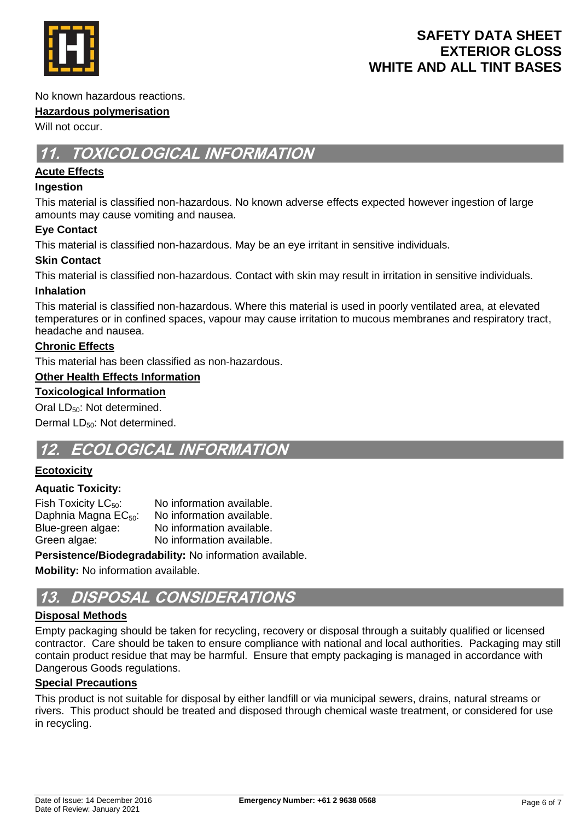

No known hazardous reactions.

### **Hazardous polymerisation**

Will not occur.

# **11. TOXICOLOGICAL INFORMATION**

### **Acute Effects**

### **Ingestion**

This material is classified non-hazardous. No known adverse effects expected however ingestion of large amounts may cause vomiting and nausea.

### **Eye Contact**

This material is classified non-hazardous. May be an eye irritant in sensitive individuals.

### **Skin Contact**

This material is classified non-hazardous. Contact with skin may result in irritation in sensitive individuals.

### **Inhalation**

This material is classified non-hazardous. Where this material is used in poorly ventilated area, at elevated temperatures or in confined spaces, vapour may cause irritation to mucous membranes and respiratory tract, headache and nausea.

### **Chronic Effects**

This material has been classified as non-hazardous.

### **Other Health Effects Information**

### **Toxicological Information**

Oral LD<sub>50</sub>: Not determined.

Dermal LD<sub>50</sub>: Not determined.

## **12. ECOLOGICAL INFORMATION**

### **Ecotoxicity**

### **Aquatic Toxicity:**

| Fish Toxicity $LC_{50}$ :        | No information available. |
|----------------------------------|---------------------------|
| Daphnia Magna EC <sub>50</sub> : | No information available. |
| Blue-green algae:                | No information available. |
| Green algae:                     | No information available. |

**Persistence/Biodegradability:** No information available.

**Mobility:** No information available.

## **13. DISPOSAL CONSIDERATIONS**

### **Disposal Methods**

Empty packaging should be taken for recycling, recovery or disposal through a suitably qualified or licensed contractor. Care should be taken to ensure compliance with national and local authorities. Packaging may still contain product residue that may be harmful. Ensure that empty packaging is managed in accordance with Dangerous Goods regulations.

### **Special Precautions**

This product is not suitable for disposal by either landfill or via municipal sewers, drains, natural streams or rivers. This product should be treated and disposed through chemical waste treatment, or considered for use in recycling.